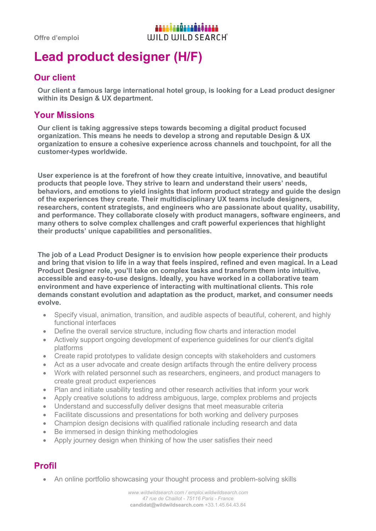# **Lead product designer (H/F)**

### **Our client**

**Our client a famous large international hotel group, is looking for a Lead product designer within its Design & UX department.**

#### **Your Missions**

**Our client is taking aggressive steps towards becoming a digital product focused organization. This means he needs to develop a strong and reputable Design & UX organization to ensure a cohesive experience across channels and touchpoint, for all the customer-types worldwide.** 

**User experience is at the forefront of how they create intuitive, innovative, and beautiful products that people love. They strive to learn and understand their users' needs, behaviors, and emotions to yield insights that inform product strategy and guide the design of the experiences they create. Their multidisciplinary UX teams include designers, researchers, content strategists, and engineers who are passionate about quality, usability, and performance. They collaborate closely with product managers, software engineers, and many others to solve complex challenges and craft powerful experiences that highlight their products' unique capabilities and personalities.** 

**The job of a Lead Product Designer is to envision how people experience their products and bring that vision to life in a way that feels inspired, refined and even magical. In a Lead Product Designer role, you'll take on complex tasks and transform them into intuitive, accessible and easy-to-use designs. Ideally, you have worked in a collaborative team environment and have experience of interacting with multinational clients. This role demands constant evolution and adaptation as the product, market, and consumer needs evolve.** 

- Specify visual, animation, transition, and audible aspects of beautiful, coherent, and highly functional interfaces
- Define the overall service structure, including flow charts and interaction model
- Actively support ongoing development of experience guidelines for our client's digital platforms
- Create rapid prototypes to validate design concepts with stakeholders and customers
- Act as a user advocate and create design artifacts through the entire delivery process
- Work with related personnel such as researchers, engineers, and product managers to create great product experiences
- Plan and initiate usability testing and other research activities that inform your work
- Apply creative solutions to address ambiguous, large, complex problems and projects
- Understand and successfully deliver designs that meet measurable criteria
- Facilitate discussions and presentations for both working and delivery purposes
- Champion design decisions with qualified rationale including research and data
- Be immersed in design thinking methodologies
- Apply journey design when thinking of how the user satisfies their need

## **Profil**

• An online portfolio showcasing your thought process and problem-solving skills